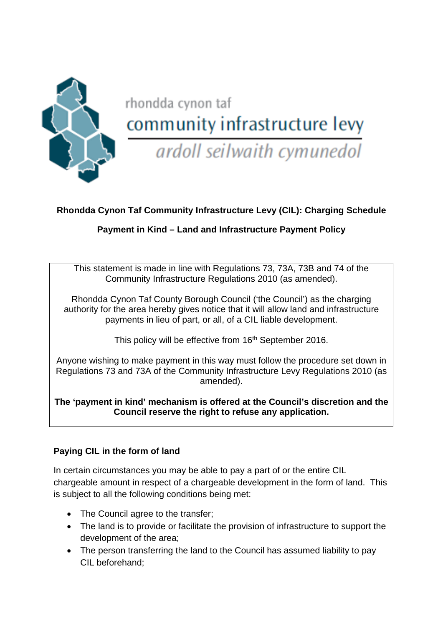

# rhondda cynon taf community infrastructure levy

ardoll seilwaith cymunedol

# **Rhondda Cynon Taf Community Infrastructure Levy (CIL): Charging Schedule**

## **Payment in Kind – Land and Infrastructure Payment Policy**

This statement is made in line with Regulations 73, 73A, 73B and 74 of the Community Infrastructure Regulations 2010 (as amended).

Rhondda Cynon Taf County Borough Council ('the Council') as the charging authority for the area hereby gives notice that it will allow land and infrastructure payments in lieu of part, or all, of a CIL liable development.

This policy will be effective from 16<sup>th</sup> September 2016.

Anyone wishing to make payment in this way must follow the procedure set down in Regulations 73 and 73A of the Community Infrastructure Levy Regulations 2010 (as amended).

**The 'payment in kind' mechanism is offered at the Council's discretion and the Council reserve the right to refuse any application.** 

## **Paying CIL in the form of land**

In certain circumstances you may be able to pay a part of or the entire CIL chargeable amount in respect of a chargeable development in the form of land. This is subject to all the following conditions being met:

- The Council agree to the transfer;
- The land is to provide or facilitate the provision of infrastructure to support the development of the area;
- The person transferring the land to the Council has assumed liability to pay CIL beforehand;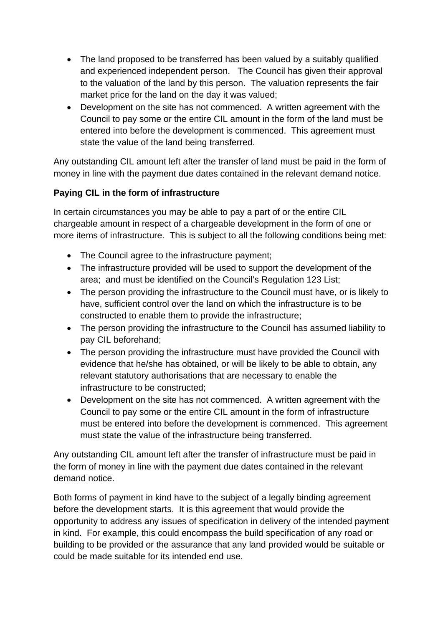- The land proposed to be transferred has been valued by a suitably qualified and experienced independent person. The Council has given their approval to the valuation of the land by this person. The valuation represents the fair market price for the land on the day it was valued;
- Development on the site has not commenced. A written agreement with the Council to pay some or the entire CIL amount in the form of the land must be entered into before the development is commenced. This agreement must state the value of the land being transferred.

Any outstanding CIL amount left after the transfer of land must be paid in the form of money in line with the payment due dates contained in the relevant demand notice.

## **Paying CIL in the form of infrastructure**

In certain circumstances you may be able to pay a part of or the entire CIL chargeable amount in respect of a chargeable development in the form of one or more items of infrastructure. This is subject to all the following conditions being met:

- The Council agree to the infrastructure payment;
- The infrastructure provided will be used to support the development of the area; and must be identified on the Council's Regulation 123 List;
- The person providing the infrastructure to the Council must have, or is likely to have, sufficient control over the land on which the infrastructure is to be constructed to enable them to provide the infrastructure;
- The person providing the infrastructure to the Council has assumed liability to pay CIL beforehand;
- The person providing the infrastructure must have provided the Council with evidence that he/she has obtained, or will be likely to be able to obtain, any relevant statutory authorisations that are necessary to enable the infrastructure to be constructed;
- Development on the site has not commenced. A written agreement with the Council to pay some or the entire CIL amount in the form of infrastructure must be entered into before the development is commenced. This agreement must state the value of the infrastructure being transferred.

Any outstanding CIL amount left after the transfer of infrastructure must be paid in the form of money in line with the payment due dates contained in the relevant demand notice.

Both forms of payment in kind have to the subject of a legally binding agreement before the development starts. It is this agreement that would provide the opportunity to address any issues of specification in delivery of the intended payment in kind. For example, this could encompass the build specification of any road or building to be provided or the assurance that any land provided would be suitable or could be made suitable for its intended end use.